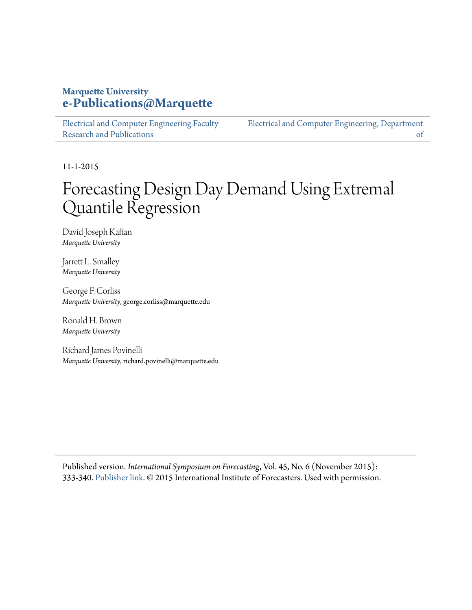## **Marquette University [e-Publications@Marquette](https://epublications.marquette.edu/)**

[Electrical and Computer Engineering Faculty](https://epublications.marquette.edu/electric_fac) [Research and Publications](https://epublications.marquette.edu/electric_fac)

[Electrical and Computer Engineering, Department](https://epublications.marquette.edu/electric) [of](https://epublications.marquette.edu/electric)

11-1-2015

# Forecasting Design Day Demand Using Extremal Quantile Regression

David Joseph Kaftan *Marquette University*

Jarrett L. Smalley *Marquette University*

George F. Corliss *Marquette University*, george.corliss@marquette.edu

Ronald H. Brown *Marquette University*

Richard James Povinelli *Marquette University*, richard.povinelli@marquette.edu

Published version. *International Symposium on Forecastin*g, Vol. 45, No. 6 (November 2015): 333-340. [Publisher link.](https://forecasters.org/) © 2015 International Institute of Forecasters. Used with permission.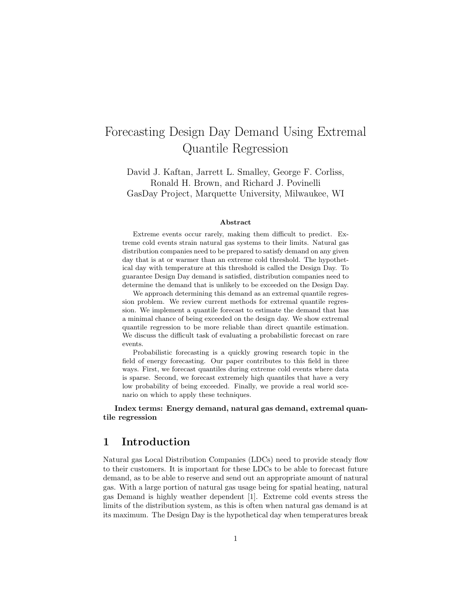## Forecasting Design Day Demand Using Extremal Quantile Regression

David J. Kaftan, Jarrett L. Smalley, George F. Corliss, Ronald H. Brown, and Richard J. Povinelli GasDay Project, Marquette University, Milwaukee, WI

#### Abstract

Extreme events occur rarely, making them difficult to predict. Extreme cold events strain natural gas systems to their limits. Natural gas distribution companies need to be prepared to satisfy demand on any given day that is at or warmer than an extreme cold threshold. The hypothetical day with temperature at this threshold is called the Design Day. To guarantee Design Day demand is satisfied, distribution companies need to determine the demand that is unlikely to be exceeded on the Design Day.

We approach determining this demand as an extremal quantile regression problem. We review current methods for extremal quantile regression. We implement a quantile forecast to estimate the demand that has a minimal chance of being exceeded on the design day. We show extremal quantile regression to be more reliable than direct quantile estimation. We discuss the difficult task of evaluating a probabilistic forecast on rare events.

Probabilistic forecasting is a quickly growing research topic in the field of energy forecasting. Our paper contributes to this field in three ways. First, we forecast quantiles during extreme cold events where data is sparse. Second, we forecast extremely high quantiles that have a very low probability of being exceeded. Finally, we provide a real world scenario on which to apply these techniques.

Index terms: Energy demand, natural gas demand, extremal quantile regression

#### 1 Introduction

Natural gas Local Distribution Companies (LDCs) need to provide steady flow to their customers. It is important for these LDCs to be able to forecast future demand, as to be able to reserve and send out an appropriate amount of natural gas. With a large portion of natural gas usage being for spatial heating, natural gas Demand is highly weather dependent [1]. Extreme cold events stress the limits of the distribution system, as this is often when natural gas demand is at its maximum. The Design Day is the hypothetical day when temperatures break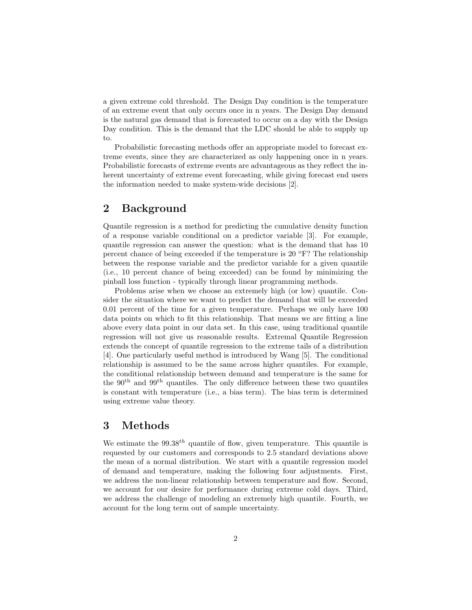a given extreme cold threshold. The Design Day condition is the temperature of an extreme event that only occurs once in n years. The Design Day demand is the natural gas demand that is forecasted to occur on a day with the Design Day condition. This is the demand that the LDC should be able to supply up to.

Probabilistic forecasting methods offer an appropriate model to forecast extreme events, since they are characterized as only happening once in n years. Probabilistic forecasts of extreme events are advantageous as they reflect the inherent uncertainty of extreme event forecasting, while giving forecast end users the information needed to make system-wide decisions [2].

### 2 Background

Quantile regression is a method for predicting the cumulative density function of a response variable conditional on a predictor variable [3]. For example, quantile regression can answer the question: what is the demand that has 10 percent chance of being exceeded if the temperature is  $20^{\circ}$ F? The relationship between the response variable and the predictor variable for a given quantile (i.e., 10 percent chance of being exceeded) can be found by minimizing the pinball loss function - typically through linear programming methods.

Problems arise when we choose an extremely high (or low) quantile. Consider the situation where we want to predict the demand that will be exceeded 0.01 percent of the time for a given temperature. Perhaps we only have 100 data points on which to fit this relationship. That means we are fitting a line above every data point in our data set. In this case, using traditional quantile regression will not give us reasonable results. Extremal Quantile Regression extends the concept of quantile regression to the extreme tails of a distribution [4]. One particularly useful method is introduced by Wang [5]. The conditional relationship is assumed to be the same across higher quantiles. For example, the conditional relationship between demand and temperature is the same for the  $90<sup>th</sup>$  and  $99<sup>th</sup>$  quantiles. The only difference between these two quantiles is constant with temperature (i.e., a bias term). The bias term is determined using extreme value theory.

### 3 Methods

We estimate the  $99.38^{th}$  quantile of flow, given temperature. This quantile is requested by our customers and corresponds to 2.5 standard deviations above the mean of a normal distribution. We start with a quantile regression model of demand and temperature, making the following four adjustments. First, we address the non-linear relationship between temperature and flow. Second, we account for our desire for performance during extreme cold days. Third, we address the challenge of modeling an extremely high quantile. Fourth, we account for the long term out of sample uncertainty.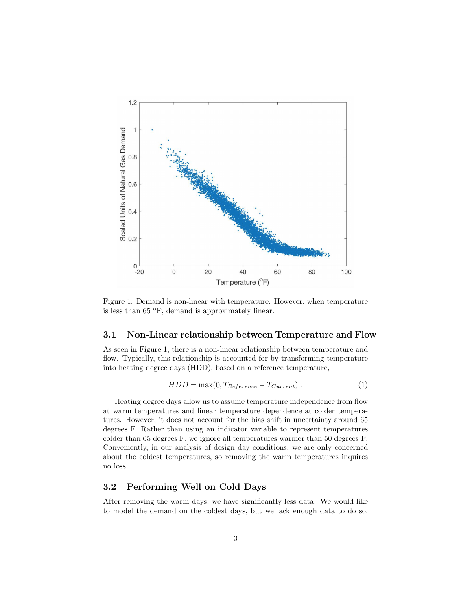

Figure 1: Demand is non-linear with temperature. However, when temperature is less than  $65 \text{ °F}$ , demand is approximately linear.

#### 3.1 Non-Linear relationship between Temperature and Flow

As seen in Figure 1, there is a non-linear relationship between temperature and flow. Typically, this relationship is accounted for by transforming temperature into heating degree days (HDD), based on a reference temperature,

$$
HDD = \max(0, T_{Reference} - T_{Current})
$$
 (1)

Heating degree days allow us to assume temperature independence from flow at warm temperatures and linear temperature dependence at colder temperatures. However, it does not account for the bias shift in uncertainty around 65 degrees F. Rather than using an indicator variable to represent temperatures colder than 65 degrees F, we ignore all temperatures warmer than 50 degrees F. Conveniently, in our analysis of design day conditions, we are only concerned about the coldest temperatures, so removing the warm temperatures inquires no loss.

### 3.2 Performing Well on Cold Days

After removing the warm days, we have significantly less data. We would like to model the demand on the coldest days, but we lack enough data to do so.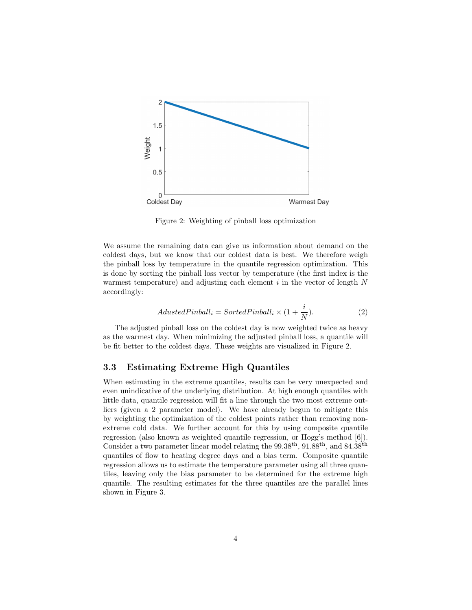

Figure 2: Weighting of pinball loss optimization

We assume the remaining data can give us information about demand on the coldest days, but we know that our coldest data is best. We therefore weigh the pinball loss by temperature in the quantile regression optimization. This is done by sorting the pinball loss vector by temperature (the first index is the warmest temperature) and adjusting each element  $i$  in the vector of length  $N$ accordingly:

$$
AdustedPinball_i = SortedPinball_i \times (1 + \frac{i}{N}).
$$
\n(2)

The adjusted pinball loss on the coldest day is now weighted twice as heavy as the warmest day. When minimizing the adjusted pinball loss, a quantile will be fit better to the coldest days. These weights are visualized in Figure 2.

#### 3.3 Estimating Extreme High Quantiles

When estimating in the extreme quantiles, results can be very unexpected and even unindicative of the underlying distribution. At high enough quantiles with little data, quantile regression will fit a line through the two most extreme outliers (given a 2 parameter model). We have already begun to mitigate this by weighting the optimization of the coldest points rather than removing nonextreme cold data. We further account for this by using composite quantile regression (also known as weighted quantile regression, or Hogg's method [6]). Consider a two parameter linear model relating the  $99.38<sup>th</sup>$ ,  $91.88<sup>th</sup>$ , and  $84.38<sup>th</sup>$ quantiles of flow to heating degree days and a bias term. Composite quantile regression allows us to estimate the temperature parameter using all three quantiles, leaving only the bias parameter to be determined for the extreme high quantile. The resulting estimates for the three quantiles are the parallel lines shown in Figure 3.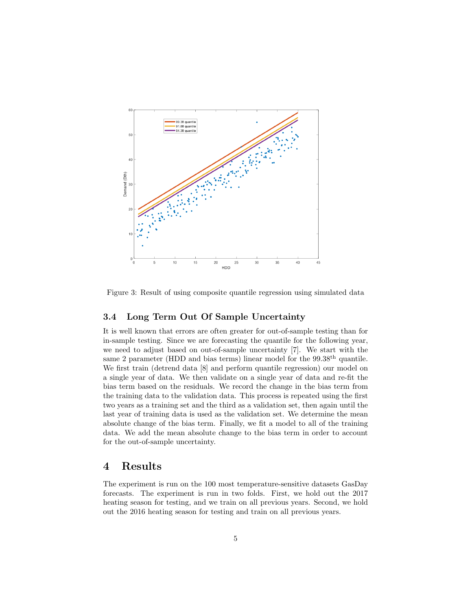

Figure 3: Result of using composite quantile regression using simulated data

#### 3.4 Long Term Out Of Sample Uncertainty

It is well known that errors are often greater for out-of-sample testing than for in-sample testing. Since we are forecasting the quantile for the following year, we need to adjust based on out-of-sample uncertainty [7]. We start with the same 2 parameter (HDD and bias terms) linear model for the 99.38<sup>th</sup> quantile. We first train (detrend data [8] and perform quantile regression) our model on a single year of data. We then validate on a single year of data and re-fit the bias term based on the residuals. We record the change in the bias term from the training data to the validation data. This process is repeated using the first two years as a training set and the third as a validation set, then again until the last year of training data is used as the validation set. We determine the mean absolute change of the bias term. Finally, we fit a model to all of the training data. We add the mean absolute change to the bias term in order to account for the out-of-sample uncertainty.

#### Results 4

The experiment is run on the 100 most temperature-sensitive datasets GasDay forecasts. The experiment is run in two folds. First, we hold out the 2017 heating season for testing, and we train on all previous years. Second, we hold out the 2016 heating season for testing and train on all previous years.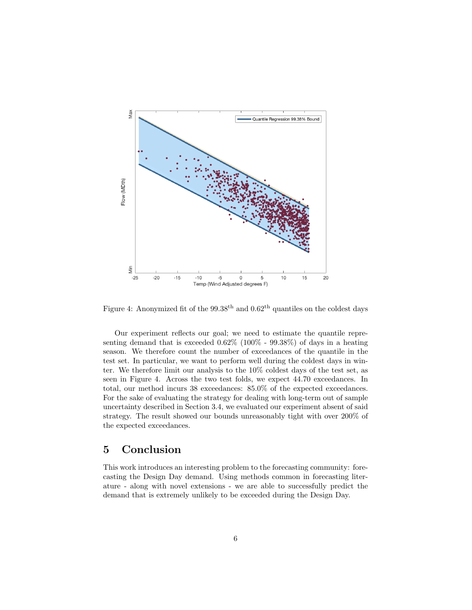

Figure 4: Anonymized fit of the  $99.38<sup>th</sup>$  and  $0.62<sup>th</sup>$  quantiles on the coldest days

Our experiment reflects our goal; we need to estimate the quantile representing demand that is exceeded 0.62% (100% - 99.38%) of days in a heating season. We therefore count the number of exceedances of the quantile in the test set. In particular, we want to perform well during the coldest days in winter. We therefore limit our analysis to the 10% coldest days of the test set, as seen in Figure 4. Across the two test folds, we expect 44.70 exceedances. In total, our method incurs 38 exceedances: 85.0% of the expected exceedances. For the sake of evaluating the strategy for dealing with long-term out of sample uncertainty described in Section 3.4, we evaluated our experiment absent of said strategy. The result showed our bounds unreasonably tight with over 200% of the expected exceedances.

#### 5 Conclusion

This work introduces an interesting problem to the forecasting community: forecasting the Design Day demand. Using methods common in forecasting literature - along with novel extensions - we are able to successfully predict the demand that is extremely unlikely to be exceeded during the Design Day.